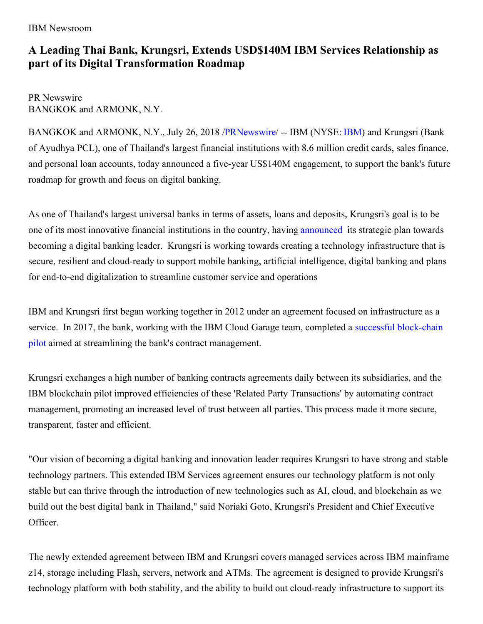#### IBM Newsroom

# **A Leading Thai Bank, Krungsri, Extends USD\$140M IBM Services Relationship as part of its Digital Transformation Roadmap**

PR Newswire BANGKOK and ARMONK, N.Y.

BANGKOK and ARMONK, N.Y., July 26, 2018 [/PRNewswire](http://www.prnewswire.com/)/ -- [IBM](http://www.ibm.com/investor) (NYSE: IBM) and Krungsri (Bank of Ayudhya PCL), one of Thailand's largest financial institutions with 8.6 million credit cards, sales finance, and personal loan accounts, today announced a five-year US\$140M engagement, to support the bank's future roadmap for growth and focus on digital banking.

As one of Thailand's largest universal banks in terms of assets, loans and deposits, Krungsri's goal is to be one of its most innovative financial institutions in the country, having [announced](https://www.krungsri.com/bank/en/NewsandActivities/Krungsri-Banking-News/digitalization-and-innovation-roadmap.html) its strategic plan towards becoming a digital banking leader. Krungsri is working towards creating a technology infrastructure that is secure, resilient and cloud-ready to support mobile banking, artificial intelligence, digital banking and plans for end-to-end digitalization to streamline customer service and operations

IBM and Krungsri first began working together in 2012 under an agreement focused on infrastructure as a service. In 2017, the bank, working with the IBM Cloud Garage team, completed a successful block-chain pilot aimed at streamlining the bank's contract [management.](https://www.krungsri.com/bank/en/NewsandActivities/Krungsri-Banking-News/3618.html)

Krungsri exchanges a high number of banking contracts agreements daily between its subsidiaries, and the IBM blockchain pilot improved efficiencies of these 'Related Party Transactions' by automating contract management, promoting an increased level of trust between all parties. This process made it more secure, transparent, faster and efficient.

"Our vision of becoming a digital banking and innovation leader requires Krungsri to have strong and stable technology partners. This extended IBM Services agreement ensures our technology platform is not only stable but can thrive through the introduction of new technologies such as AI, cloud, and blockchain as we build out the best digital bank in Thailand," said Noriaki Goto, Krungsri's President and Chief Executive Officer.

The newly extended agreement between IBM and Krungsri covers managed services across IBM mainframe z14, storage including Flash, servers, network and ATMs. The agreement is designed to provide Krungsri's technology platform with both stability, and the ability to build out cloud-ready infrastructure to support its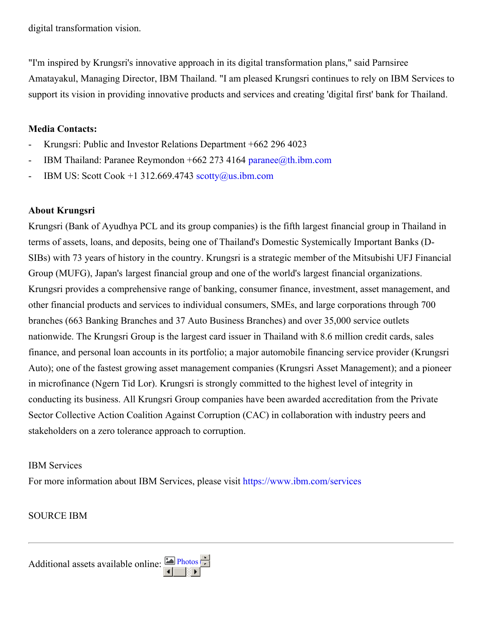digital transformation vision.

"I'm inspired by Krungsri's innovative approach in its digital transformation plans," said Parnsiree Amatayakul, Managing Director, IBM Thailand. "I am pleased Krungsri continues to rely on IBM Services to support its vision in providing innovative products and services and creating 'digital first' bank for Thailand.

### **Media Contacts:**

- Krungsri: Public and Investor Relations Department +662 296 4023
- IBM Thailand: Paranee Reymondon +662 273 4164 [paranee@th.ibm.com](mailto:paranee@th.ibm.com)
- IBM US: Scott Cook +1 312.669.4743 [scotty@us.ibm.com](mailto:scotty@us.ibm.com)

# **About Krungsri**

Krungsri (Bank of Ayudhya PCL and its group companies) is the fifth largest financial group in Thailand in terms of assets, loans, and deposits, being one of Thailand's Domestic Systemically Important Banks (D-SIBs) with 73 years of history in the country. Krungsri is a strategic member of the Mitsubishi UFJ Financial Group (MUFG), Japan's largest financial group and one of the world's largest financial organizations. Krungsri provides a comprehensive range of banking, consumer finance, investment, asset management, and other financial products and services to individual consumers, SMEs, and large corporations through 700 branches (663 Banking Branches and 37 Auto Business Branches) and over 35,000 service outlets nationwide. The Krungsri Group is the largest card issuer in Thailand with 8.6 million credit cards, sales finance, and personal loan accounts in its portfolio; a major automobile financing service provider (Krungsri Auto); one of the fastest growing asset management companies (Krungsri Asset Management); and a pioneer in microfinance (Ngern Tid Lor). Krungsri is strongly committed to the highest level of integrity in conducting its business. All Krungsri Group companies have been awarded accreditation from the Private Sector Collective Action Coalition Against Corruption (CAC) in collaboration with industry peers and stakeholders on a zero tolerance approach to corruption.

#### IBM Services

For more information about IBM Services, please visit <https://www.ibm.com/services>

# SOURCE IBM